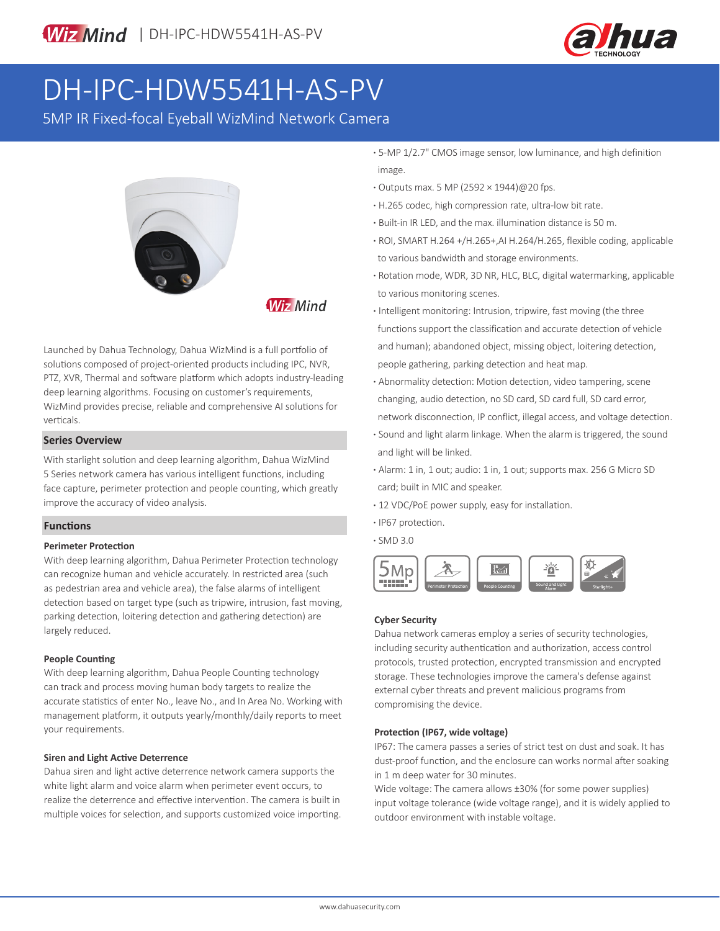

# DH-IPC-HDW5541H-AS-PV

5MP IR Fixed-focal Eyeball WizMind Network Camera



**Wiz Mind** 

Launched by Dahua Technology, Dahua WizMind is a full portfolio of solutions composed of project-oriented products including IPC, NVR, PTZ, XVR, Thermal and software platform which adopts industry-leading deep learning algorithms. Focusing on customer's requirements, WizMind provides precise, reliable and comprehensive AI solutions for verticals.

### **Series Overview**

With starlight solution and deep learning algorithm, Dahua WizMind 5 Series network camera has various intelligent functions, including face capture, perimeter protection and people counting, which greatly improve the accuracy of video analysis.

# **Functions**

### **Perimeter Protection**

With deep learning algorithm, Dahua Perimeter Protection technology can recognize human and vehicle accurately. In restricted area (such as pedestrian area and vehicle area), the false alarms of intelligent detection based on target type (such as tripwire, intrusion, fast moving, parking detection, loitering detection and gathering detection) are largely reduced.

# **People Counting**

With deep learning algorithm, Dahua People Counting technology can track and process moving human body targets to realize the accurate statistics of enter No., leave No., and In Area No. Working with management platform, it outputs yearly/monthly/daily reports to meet your requirements.

### **Siren and Light Active Deterrence**

Dahua siren and light active deterrence network camera supports the white light alarm and voice alarm when perimeter event occurs, to realize the deterrence and effective intervention. The camera is built in multiple voices for selection, and supports customized voice importing.

- **·** 5-MP 1/2.7" CMOS image sensor, low luminance, and high definition image.
- **·** Outputs max. 5 MP (2592 × 1944)@20 fps.
- **·** H.265 codec, high compression rate, ultra-low bit rate.
- **·** Built-in IR LED, and the max. illumination distance is 50 m.
- **·** ROI, SMART H.264 +/H.265+,AI H.264/H.265, flexible coding, applicable to various bandwidth and storage environments.
- **·** Rotation mode, WDR, 3D NR, HLC, BLC, digital watermarking, applicable to various monitoring scenes.
- **·** Intelligent monitoring: Intrusion, tripwire, fast moving (the three functions support the classification and accurate detection of vehicle and human); abandoned object, missing object, loitering detection, people gathering, parking detection and heat map.
- **·** Abnormality detection: Motion detection, video tampering, scene changing, audio detection, no SD card, SD card full, SD card error, network disconnection, IP conflict, illegal access, and voltage detection.
- **·** Sound and light alarm linkage. When the alarm is triggered, the sound and light will be linked.
- **·** Alarm: 1 in, 1 out; audio: 1 in, 1 out; supports max. 256 G Micro SD card; built in MIC and speaker.
- **·** 12 VDC/PoE power supply, easy for installation.
- **·** IP67 protection.
- **·** SMD 3.0



# **Cyber Security**

Dahua network cameras employ a series of security technologies, including security authentication and authorization, access control protocols, trusted protection, encrypted transmission and encrypted storage. These technologies improve the camera's defense against external cyber threats and prevent malicious programs from compromising the device.

### **Protection (IP67, wide voltage)**

IP67: The camera passes a series of strict test on dust and soak. It has dust-proof function, and the enclosure can works normal after soaking in 1 m deep water for 30 minutes.

Wide voltage: The camera allows ±30% (for some power supplies) input voltage tolerance (wide voltage range), and it is widely applied to outdoor environment with instable voltage.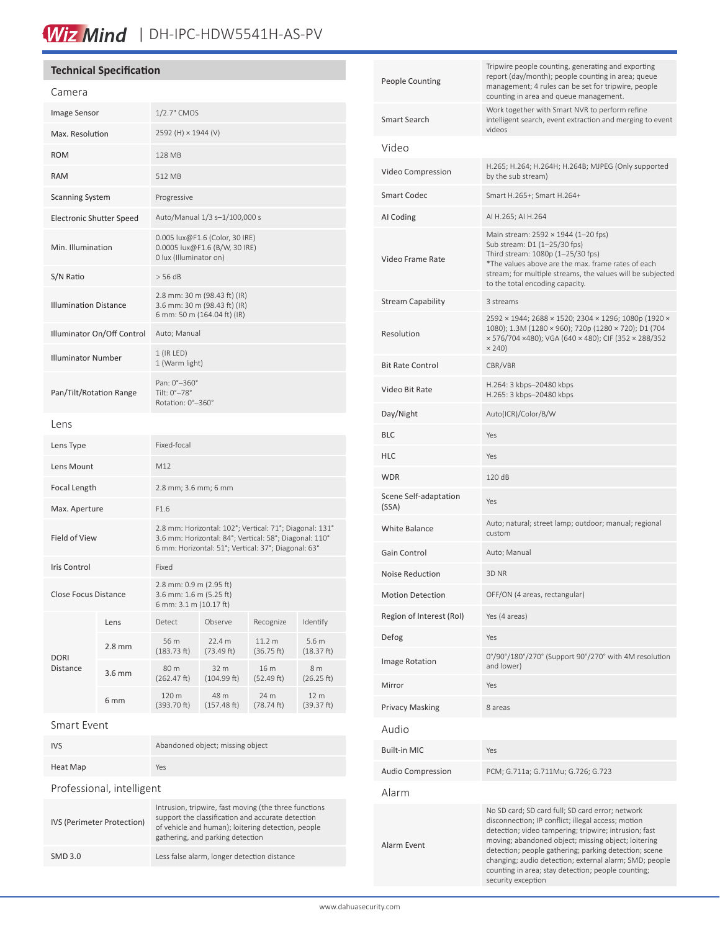# Wiz Mind | DH-IPC-HDW5541H-AS-PV

# **Technical Specification**

| Camera                       |                  |                                                                                                                                                                          |                      |                      |                    |
|------------------------------|------------------|--------------------------------------------------------------------------------------------------------------------------------------------------------------------------|----------------------|----------------------|--------------------|
| Image Sensor                 |                  | 1/2.7" CMOS                                                                                                                                                              |                      |                      |                    |
| Max. Resolution              |                  | 2592 (H) × 1944 (V)                                                                                                                                                      |                      |                      |                    |
| <b>ROM</b>                   |                  | <b>128 MB</b>                                                                                                                                                            |                      |                      |                    |
| <b>RAM</b>                   |                  | 512 MB                                                                                                                                                                   |                      |                      |                    |
| <b>Scanning System</b>       |                  | Progressive                                                                                                                                                              |                      |                      |                    |
| Electronic Shutter Speed     |                  | Auto/Manual 1/3 s-1/100,000 s                                                                                                                                            |                      |                      |                    |
| Min. Illumination            |                  | 0.005 lux@F1.6 (Color, 30 IRE)<br>0.0005 lux@F1.6 (B/W, 30 IRE)<br>0 lux (Illuminator on)                                                                                |                      |                      |                    |
| S/N Ratio                    |                  | $>$ 56 dB                                                                                                                                                                |                      |                      |                    |
| <b>Illumination Distance</b> |                  | 2.8 mm: 30 m (98.43 ft) (IR)<br>3.6 mm: 30 m (98.43 ft) (IR)<br>6 mm: 50 m (164.04 ft) (IR)                                                                              |                      |                      |                    |
| Illuminator On/Off Control   |                  | Auto; Manual                                                                                                                                                             |                      |                      |                    |
| <b>Illuminator Number</b>    |                  | $1$ (IR LED)<br>1 (Warm light)                                                                                                                                           |                      |                      |                    |
| Pan/Tilt/Rotation Range      |                  | Pan: 0°-360°<br>Tilt: 0°-78°<br>Rotation: 0°-360°                                                                                                                        |                      |                      |                    |
| Lens                         |                  |                                                                                                                                                                          |                      |                      |                    |
| Lens Type                    |                  | Fixed-focal                                                                                                                                                              |                      |                      |                    |
| Lens Mount                   |                  | M12                                                                                                                                                                      |                      |                      |                    |
| Focal Length                 |                  | 2.8 mm; 3.6 mm; 6 mm                                                                                                                                                     |                      |                      |                    |
| Max. Aperture                |                  | F1.6                                                                                                                                                                     |                      |                      |                    |
| Field of View                |                  | 2.8 mm: Horizontal: 102°; Vertical: 71°; Diagonal: 131°<br>3.6 mm: Horizontal: 84°; Vertical: 58°; Diagonal: 110°<br>6 mm: Horizontal: 51°; Vertical: 37°; Diagonal: 63° |                      |                      |                    |
| Iris Control                 |                  | Fixed                                                                                                                                                                    |                      |                      |                    |
| Close Focus Distance         |                  | 2.8 mm: 0.9 m (2.95 ft)<br>3.6 mm: 1.6 m (5.25 ft)<br>6 mm: 3.1 m (10.17 ft)                                                                                             |                      |                      |                    |
| <b>DORI</b><br>Distance      | Lens             | Detect                                                                                                                                                                   | Observe              | Recognize            | Identify           |
|                              | $2.8 \text{ mm}$ | 56 m<br>(183.73 ft)                                                                                                                                                      | 22.4 m<br>(73.49 ft) | 11.2 m<br>(36.75 ft) | 5.6m<br>(18.37 ft) |
|                              | 3.6 mm           | 80 m<br>(262.47 ft)                                                                                                                                                      | 32 m<br>(104.99 ft)  | 16 m<br>(52.49 ft)   | 8 m<br>(26.25 ft)  |
|                              | 6 mm             | 120 m<br>(393.70 ft)                                                                                                                                                     | 48 m<br>(157.48 ft)  | 24 m<br>(78.74 ft)   | 12 m<br>(39.37 ft) |
| <b>Smart Event</b>           |                  |                                                                                                                                                                          |                      |                      |                    |

| Smart Event |  |
|-------------|--|
|-------------|--|

| <b>IVS</b>                 | Abandoned object; missing object                                                                                                                                                                     |  |  |
|----------------------------|------------------------------------------------------------------------------------------------------------------------------------------------------------------------------------------------------|--|--|
| Heat Map                   | Yes                                                                                                                                                                                                  |  |  |
| Professional, intelligent  |                                                                                                                                                                                                      |  |  |
| IVS (Perimeter Protection) | Intrusion, tripwire, fast moving (the three functions<br>support the classification and accurate detection<br>of vehicle and human); loitering detection, people<br>gathering, and parking detection |  |  |
| SMD 3.0                    | Less false alarm, longer detection distance                                                                                                                                                          |  |  |

| <b>People Counting</b>         | Tripwire people counting, generating and exporting<br>report (day/month); people counting in area; queue<br>management; 4 rules can be set for tripwire, people<br>counting in area and queue management.                                                                                                                                                                                                             |  |  |
|--------------------------------|-----------------------------------------------------------------------------------------------------------------------------------------------------------------------------------------------------------------------------------------------------------------------------------------------------------------------------------------------------------------------------------------------------------------------|--|--|
| Smart Search                   | Work together with Smart NVR to perform refine<br>intelligent search, event extraction and merging to event<br>videos                                                                                                                                                                                                                                                                                                 |  |  |
| Video                          |                                                                                                                                                                                                                                                                                                                                                                                                                       |  |  |
| Video Compression              | H.265; H.264; H.264H; H.264B; MJPEG (Only supported<br>by the sub stream)                                                                                                                                                                                                                                                                                                                                             |  |  |
| Smart Codec                    | Smart H.265+; Smart H.264+                                                                                                                                                                                                                                                                                                                                                                                            |  |  |
| AI Coding                      | AI H.265; AI H.264                                                                                                                                                                                                                                                                                                                                                                                                    |  |  |
| Video Frame Rate               | Main stream: 2592 × 1944 (1-20 fps)<br>Sub stream: D1 (1-25/30 fps)<br>Third stream: 1080p (1-25/30 fps)<br>*The values above are the max. frame rates of each<br>stream; for multiple streams, the values will be subjected<br>to the total encoding capacity.                                                                                                                                                       |  |  |
| <b>Stream Capability</b>       | 3 streams                                                                                                                                                                                                                                                                                                                                                                                                             |  |  |
| Resolution                     | 2592 × 1944; 2688 × 1520; 2304 × 1296; 1080p (1920 ×<br>1080); 1.3M (1280 × 960); 720p (1280 × 720); D1 (704<br>× 576/704 ×480); VGA (640 × 480); CIF (352 × 288/352<br>$\times$ 240)                                                                                                                                                                                                                                 |  |  |
| <b>Bit Rate Control</b>        | CBR/VBR                                                                                                                                                                                                                                                                                                                                                                                                               |  |  |
| Video Bit Rate                 | H.264: 3 kbps-20480 kbps<br>H.265: 3 kbps-20480 kbps                                                                                                                                                                                                                                                                                                                                                                  |  |  |
| Day/Night                      | Auto(ICR)/Color/B/W                                                                                                                                                                                                                                                                                                                                                                                                   |  |  |
| <b>BLC</b>                     | Yes                                                                                                                                                                                                                                                                                                                                                                                                                   |  |  |
| HLC                            | Yes                                                                                                                                                                                                                                                                                                                                                                                                                   |  |  |
| <b>WDR</b>                     | 120 dB                                                                                                                                                                                                                                                                                                                                                                                                                |  |  |
| Scene Self-adaptation<br>(SSA) | Yes                                                                                                                                                                                                                                                                                                                                                                                                                   |  |  |
| White Balance                  | Auto; natural; street lamp; outdoor; manual; regional<br>custom                                                                                                                                                                                                                                                                                                                                                       |  |  |
| Gain Control                   | Auto; Manual                                                                                                                                                                                                                                                                                                                                                                                                          |  |  |
| Noise Reduction                | 3D NR                                                                                                                                                                                                                                                                                                                                                                                                                 |  |  |
| <b>Motion Detection</b>        | OFF/ON (4 areas, rectangular)                                                                                                                                                                                                                                                                                                                                                                                         |  |  |
| Region of Interest (RoI)       | Yes (4 areas)                                                                                                                                                                                                                                                                                                                                                                                                         |  |  |
| Defog                          | Yes                                                                                                                                                                                                                                                                                                                                                                                                                   |  |  |
| Image Rotation                 | 0°/90°/180°/270° (Support 90°/270° with 4M resolution<br>and lower)                                                                                                                                                                                                                                                                                                                                                   |  |  |
| Mirror                         | Yes                                                                                                                                                                                                                                                                                                                                                                                                                   |  |  |
| <b>Privacy Masking</b>         | 8 areas                                                                                                                                                                                                                                                                                                                                                                                                               |  |  |
| Audio                          |                                                                                                                                                                                                                                                                                                                                                                                                                       |  |  |
| <b>Built-in MIC</b>            | Yes                                                                                                                                                                                                                                                                                                                                                                                                                   |  |  |
| <b>Audio Compression</b>       | PCM; G.711a; G.711Mu; G.726; G.723                                                                                                                                                                                                                                                                                                                                                                                    |  |  |
| Alarm                          |                                                                                                                                                                                                                                                                                                                                                                                                                       |  |  |
| Alarm Event                    | No SD card; SD card full; SD card error; network<br>disconnection; IP conflict; illegal access; motion<br>detection; video tampering; tripwire; intrusion; fast<br>moving; abandoned object; missing object; loitering<br>detection; people gathering; parking detection; scene<br>changing; audio detection; external alarm; SMD; people<br>counting in area; stay detection; people counting;<br>security exception |  |  |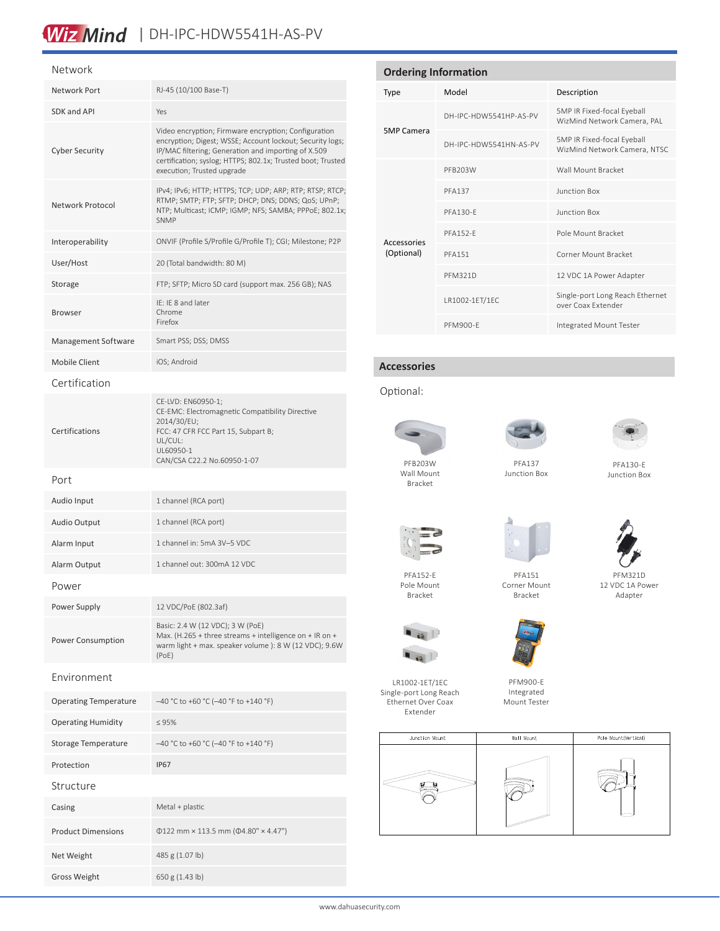# Wiz Mind | DH-IPC-HDW5541H-AS-PV

#### Network

| Network Port                 | RJ-45 (10/100 Base-T)                                                                                                                                                                                                                                                 |  |  |
|------------------------------|-----------------------------------------------------------------------------------------------------------------------------------------------------------------------------------------------------------------------------------------------------------------------|--|--|
| SDK and API                  | Yes                                                                                                                                                                                                                                                                   |  |  |
| <b>Cyber Security</b>        | Video encryption; Firmware encryption; Configuration<br>encryption; Digest; WSSE; Account lockout; Security logs;<br>IP/MAC filtering; Generation and importing of X.509<br>certification; syslog; HTTPS; 802.1x; Trusted boot; Trusted<br>execution; Trusted upgrade |  |  |
| Network Protocol             | IPv4; IPv6; HTTP; HTTPS; TCP; UDP; ARP; RTP; RTSP; RTCP;<br>RTMP; SMTP; FTP; SFTP; DHCP; DNS; DDNS; QoS; UPnP;<br>NTP; Multicast; ICMP; IGMP; NFS; SAMBA; PPPoE; 802.1x;<br><b>SNMP</b>                                                                               |  |  |
| Interoperability             | ONVIF (Profile S/Profile G/Profile T); CGI; Milestone; P2P                                                                                                                                                                                                            |  |  |
| User/Host                    | 20 (Total bandwidth: 80 M)                                                                                                                                                                                                                                            |  |  |
| Storage                      | FTP; SFTP; Micro SD card (support max. 256 GB); NAS                                                                                                                                                                                                                   |  |  |
| <b>Browser</b>               | IE: IE 8 and later<br>Chrome<br>Firefox                                                                                                                                                                                                                               |  |  |
| Management Software          | Smart PSS; DSS; DMSS                                                                                                                                                                                                                                                  |  |  |
| <b>Mobile Client</b>         | iOS; Android                                                                                                                                                                                                                                                          |  |  |
| Certification                |                                                                                                                                                                                                                                                                       |  |  |
| Certifications               | CE-LVD: EN60950-1;<br>CE-EMC: Electromagnetic Compatibility Directive<br>2014/30/EU;<br>FCC: 47 CFR FCC Part 15, Subpart B;<br>UL/CUL:<br>UL60950-1<br>CAN/CSA C22.2 No.60950-1-07                                                                                    |  |  |
| Port                         |                                                                                                                                                                                                                                                                       |  |  |
| Audio Input                  | 1 channel (RCA port)                                                                                                                                                                                                                                                  |  |  |
| <b>Audio Output</b>          | 1 channel (RCA port)                                                                                                                                                                                                                                                  |  |  |
| Alarm Input                  | 1 channel in: 5mA 3V-5 VDC                                                                                                                                                                                                                                            |  |  |
| Alarm Output                 | 1 channel out: 300mA 12 VDC                                                                                                                                                                                                                                           |  |  |
| Power                        |                                                                                                                                                                                                                                                                       |  |  |
| Power Supply                 | 12 VDC/PoE (802.3af)                                                                                                                                                                                                                                                  |  |  |
| Power Consumption            | Basic: 2.4 W (12 VDC); 3 W (PoE)<br>Max. (H.265 + three streams + intelligence on + IR on +<br>warm light + max. speaker volume ): 8 W (12 VDC); 9.6W<br>(PoE)                                                                                                        |  |  |
| Environment                  |                                                                                                                                                                                                                                                                       |  |  |
| <b>Operating Temperature</b> | -40 °C to +60 °C (-40 °F to +140 °F)                                                                                                                                                                                                                                  |  |  |
| <b>Operating Humidity</b>    | $\leq 95\%$                                                                                                                                                                                                                                                           |  |  |
| <b>Storage Temperature</b>   | -40 °C to +60 °C (-40 °F to +140 °F)                                                                                                                                                                                                                                  |  |  |
| Protection                   | <b>IP67</b>                                                                                                                                                                                                                                                           |  |  |
| Structure                    |                                                                                                                                                                                                                                                                       |  |  |
| Casing                       | Metal + plastic                                                                                                                                                                                                                                                       |  |  |
| <b>Product Dimensions</b>    | $\Phi$ 122 mm × 113.5 mm ( $\Phi$ 4.80" × 4.47")                                                                                                                                                                                                                      |  |  |
| Net Weight                   | 485 g (1.07 lb)                                                                                                                                                                                                                                                       |  |  |
| <b>Gross Weight</b>          | 650 g (1.43 lb)                                                                                                                                                                                                                                                       |  |  |

| <b>Ordering Information</b> |                        |                                                            |  |  |
|-----------------------------|------------------------|------------------------------------------------------------|--|--|
| <b>Type</b>                 | Model                  | Description                                                |  |  |
| <b>5MP Camera</b>           | DH-IPC-HDW5541HP-AS-PV | 5MP IR Fixed-focal Eyeball<br>WizMind Network Camera, PAL  |  |  |
|                             | DH-IPC-HDW5541HN-AS-PV | 5MP IR Fixed-focal Eyeball<br>WizMind Network Camera, NTSC |  |  |
| Accessories<br>(Optional)   | PFB203W                | Wall Mount Bracket                                         |  |  |
|                             | <b>PFA137</b>          | <b>Junction Box</b>                                        |  |  |
|                             | PFA130-F               | <b>Junction Box</b>                                        |  |  |
|                             | <b>PFA152-F</b>        | Pole Mount Bracket                                         |  |  |
|                             | <b>PFA151</b>          | Corner Mount Bracket                                       |  |  |
|                             | <b>PFM321D</b>         | 12 VDC 1A Power Adapter                                    |  |  |
|                             | LR1002-1ET/1EC         | Single-port Long Reach Ethernet<br>over Coax Extender      |  |  |
|                             |                        |                                                            |  |  |

### **Accessories**

# Optional:



Bracket

PFA152-E Pole Mount Bracket

LR1002-1ET/1EC Single-port Long Reach Ethernet Over Coax Extender

 $\blacksquare$  is  $\blacksquare$  $\blacksquare$  49





PFA137 Junction Box

PFM900-E Integrated Mount Tester

PFA130-E Junction Box







Bracket



Mount Tester



PFM321D 12 VDC 1A Power Adapter



PFM900-E Integrated